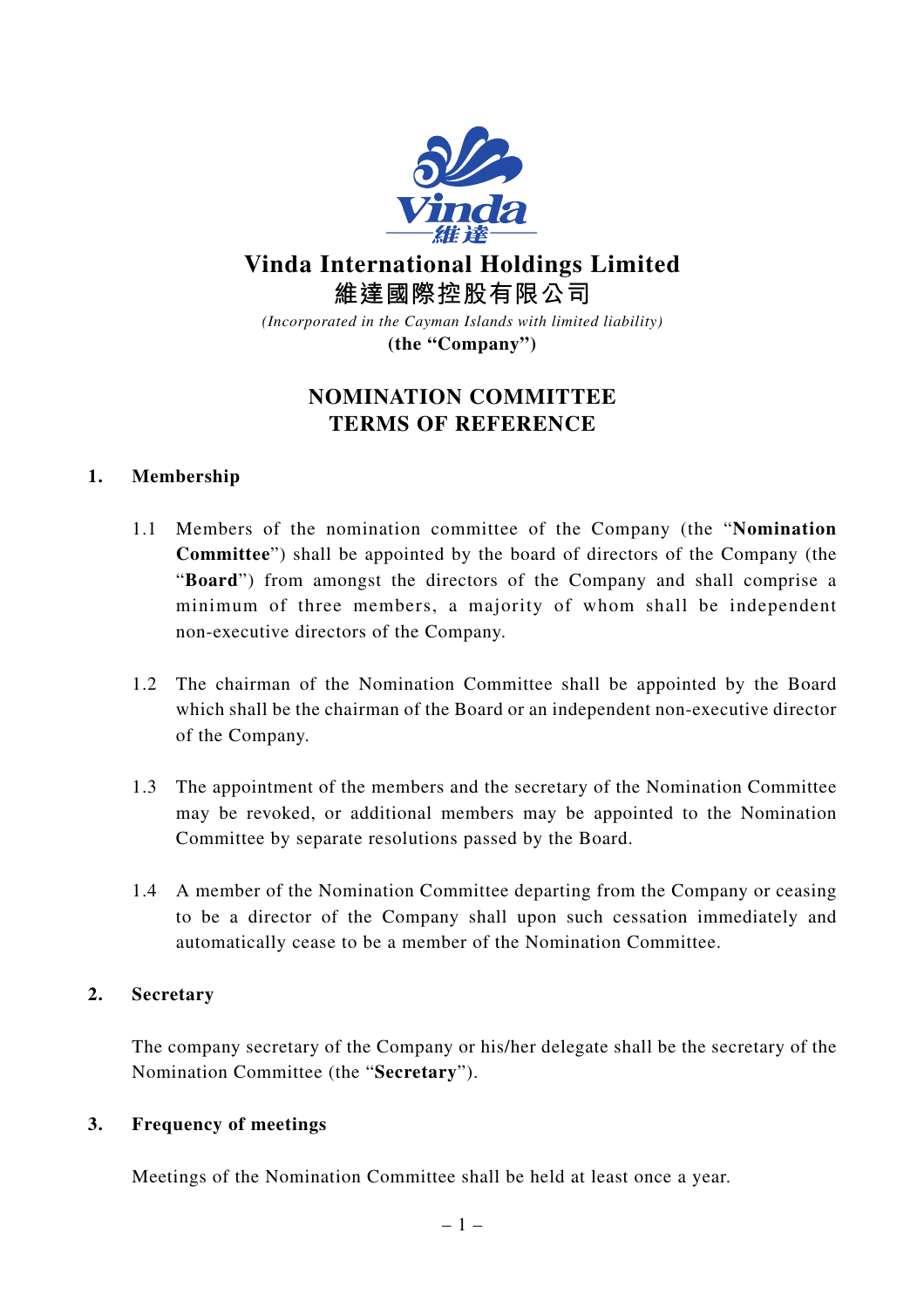

**Vinda International Holdings Limited 維達國際控股有限公司**

*(Incorporated in the Cayman Islands with limited liability)* **(the "Company")**

# **NOMINATION COMMITTEE TERMS OF REFERENCE**

# **1. Membership**

- 1.1 Members of the nomination committee of the Company (the "**Nomination Committee**") shall be appointed by the board of directors of the Company (the "**Board**") from amongst the directors of the Company and shall comprise a minimum of three members, a majority of whom shall be independent non-executive directors of the Company.
- 1.2 The chairman of the Nomination Committee shall be appointed by the Board which shall be the chairman of the Board or an independent non-executive director of the Company.
- 1.3 The appointment of the members and the secretary of the Nomination Committee may be revoked, or additional members may be appointed to the Nomination Committee by separate resolutions passed by the Board.
- 1.4 A member of the Nomination Committee departing from the Company or ceasing to be a director of the Company shall upon such cessation immediately and automatically cease to be a member of the Nomination Committee.

### **2. Secretary**

The company secretary of the Company or his/her delegate shall be the secretary of the Nomination Committee (the "**Secretary**").

### **3. Frequency of meetings**

Meetings of the Nomination Committee shall be held at least once a year.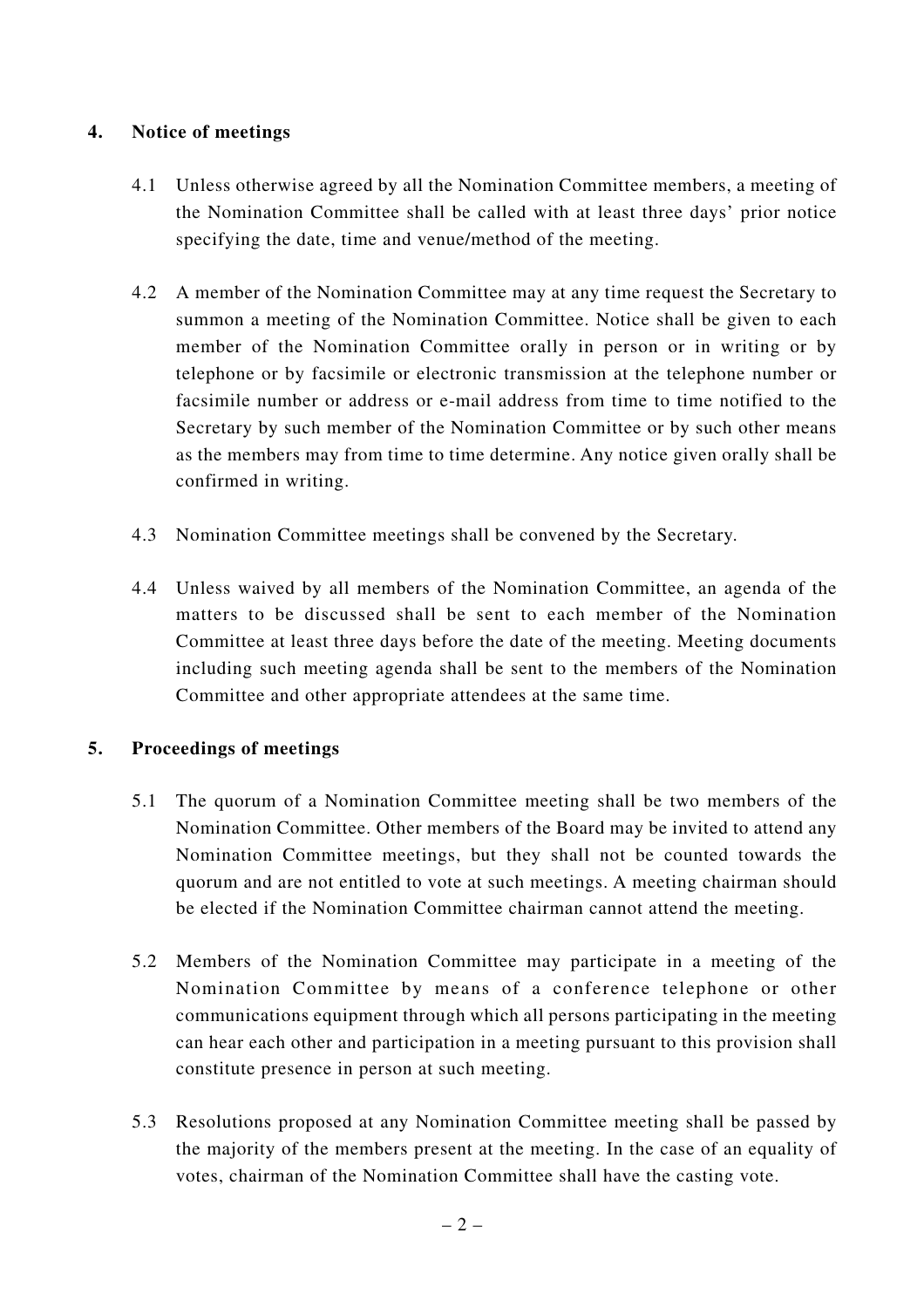### **4. Notice of meetings**

- 4.1 Unless otherwise agreed by all the Nomination Committee members, a meeting of the Nomination Committee shall be called with at least three days' prior notice specifying the date, time and venue/method of the meeting.
- 4.2 A member of the Nomination Committee may at any time request the Secretary to summon a meeting of the Nomination Committee. Notice shall be given to each member of the Nomination Committee orally in person or in writing or by telephone or by facsimile or electronic transmission at the telephone number or facsimile number or address or e-mail address from time to time notified to the Secretary by such member of the Nomination Committee or by such other means as the members may from time to time determine. Any notice given orally shall be confirmed in writing.
- 4.3 Nomination Committee meetings shall be convened by the Secretary.
- 4.4 Unless waived by all members of the Nomination Committee, an agenda of the matters to be discussed shall be sent to each member of the Nomination Committee at least three days before the date of the meeting. Meeting documents including such meeting agenda shall be sent to the members of the Nomination Committee and other appropriate attendees at the same time.

# **5. Proceedings of meetings**

- 5.1 The quorum of a Nomination Committee meeting shall be two members of the Nomination Committee. Other members of the Board may be invited to attend any Nomination Committee meetings, but they shall not be counted towards the quorum and are not entitled to vote at such meetings. A meeting chairman should be elected if the Nomination Committee chairman cannot attend the meeting.
- 5.2 Members of the Nomination Committee may participate in a meeting of the Nomination Committee by means of a conference telephone or other communications equipment through which all persons participating in the meeting can hear each other and participation in a meeting pursuant to this provision shall constitute presence in person at such meeting.
- 5.3 Resolutions proposed at any Nomination Committee meeting shall be passed by the majority of the members present at the meeting. In the case of an equality of votes, chairman of the Nomination Committee shall have the casting vote.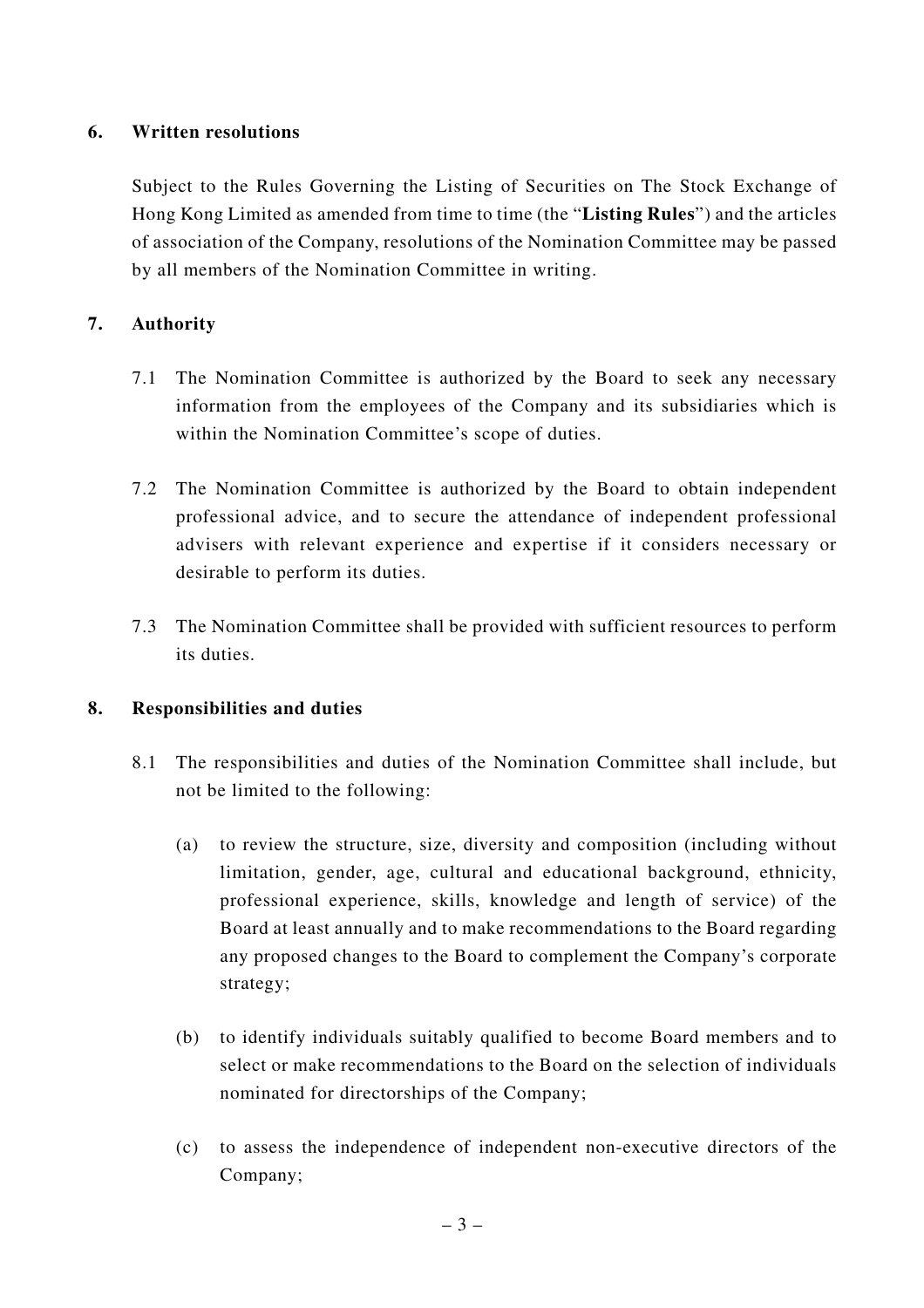### **6. Written resolutions**

Subject to the Rules Governing the Listing of Securities on The Stock Exchange of Hong Kong Limited as amended from time to time (the "**Listing Rules**") and the articles of association of the Company, resolutions of the Nomination Committee may be passed by all members of the Nomination Committee in writing.

### **7. Authority**

- 7.1 The Nomination Committee is authorized by the Board to seek any necessary information from the employees of the Company and its subsidiaries which is within the Nomination Committee's scope of duties.
- 7.2 The Nomination Committee is authorized by the Board to obtain independent professional advice, and to secure the attendance of independent professional advisers with relevant experience and expertise if it considers necessary or desirable to perform its duties.
- 7.3 The Nomination Committee shall be provided with sufficient resources to perform its duties.

### **8. Responsibilities and duties**

- 8.1 The responsibilities and duties of the Nomination Committee shall include, but not be limited to the following:
	- (a) to review the structure, size, diversity and composition (including without limitation, gender, age, cultural and educational background, ethnicity, professional experience, skills, knowledge and length of service) of the Board at least annually and to make recommendations to the Board regarding any proposed changes to the Board to complement the Company's corporate strategy;
	- (b) to identify individuals suitably qualified to become Board members and to select or make recommendations to the Board on the selection of individuals nominated for directorships of the Company;
	- (c) to assess the independence of independent non-executive directors of the Company;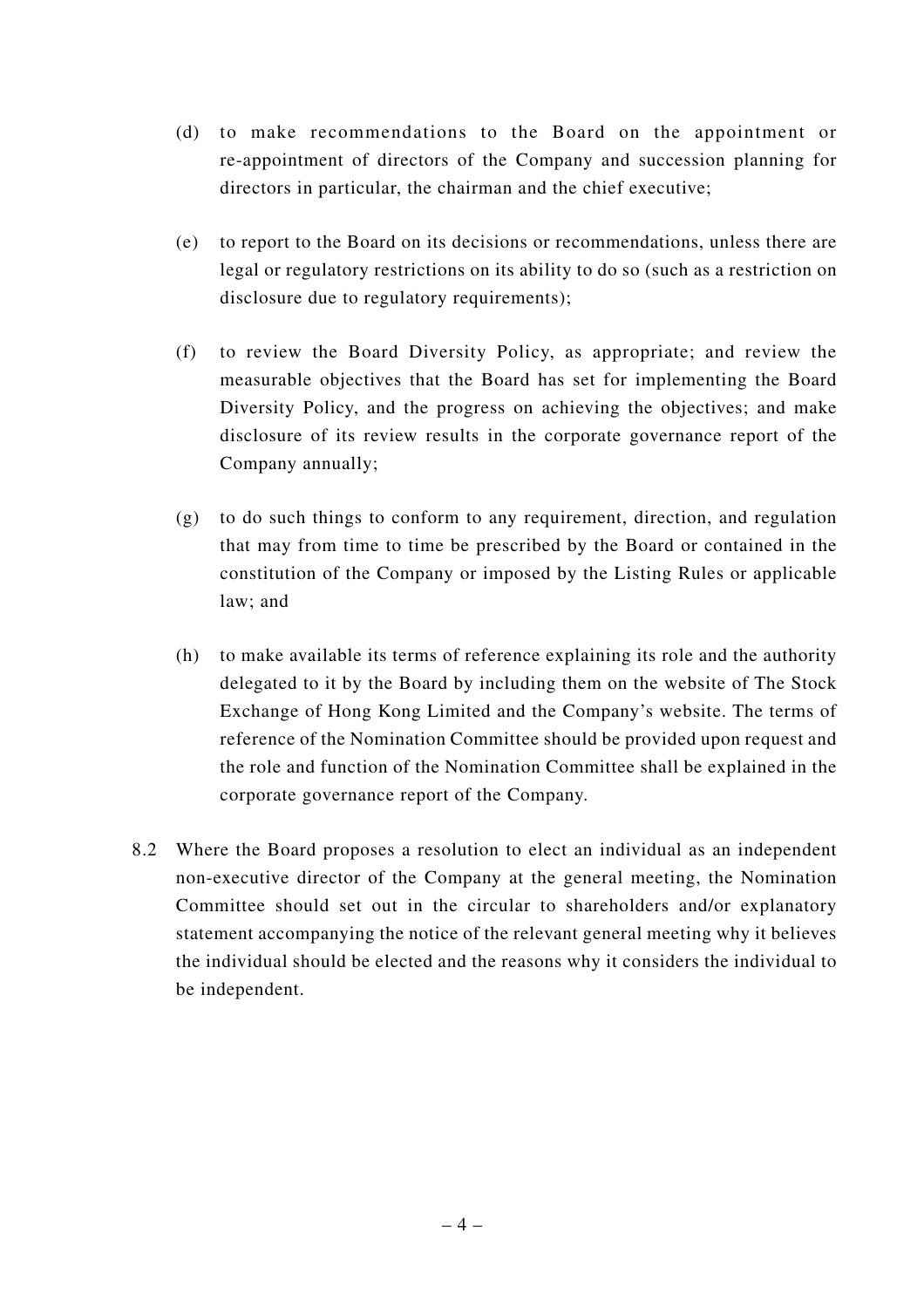- (d) to make recommendations to the Board on the appointment or re-appointment of directors of the Company and succession planning for directors in particular, the chairman and the chief executive;
- (e) to report to the Board on its decisions or recommendations, unless there are legal or regulatory restrictions on its ability to do so (such as a restriction on disclosure due to regulatory requirements);
- (f) to review the Board Diversity Policy, as appropriate; and review the measurable objectives that the Board has set for implementing the Board Diversity Policy, and the progress on achieving the objectives; and make disclosure of its review results in the corporate governance report of the Company annually;
- (g) to do such things to conform to any requirement, direction, and regulation that may from time to time be prescribed by the Board or contained in the constitution of the Company or imposed by the Listing Rules or applicable law; and
- (h) to make available its terms of reference explaining its role and the authority delegated to it by the Board by including them on the website of The Stock Exchange of Hong Kong Limited and the Company's website. The terms of reference of the Nomination Committee should be provided upon request and the role and function of the Nomination Committee shall be explained in the corporate governance report of the Company.
- 8.2 Where the Board proposes a resolution to elect an individual as an independent non-executive director of the Company at the general meeting, the Nomination Committee should set out in the circular to shareholders and/or explanatory statement accompanying the notice of the relevant general meeting why it believes the individual should be elected and the reasons why it considers the individual to be independent.